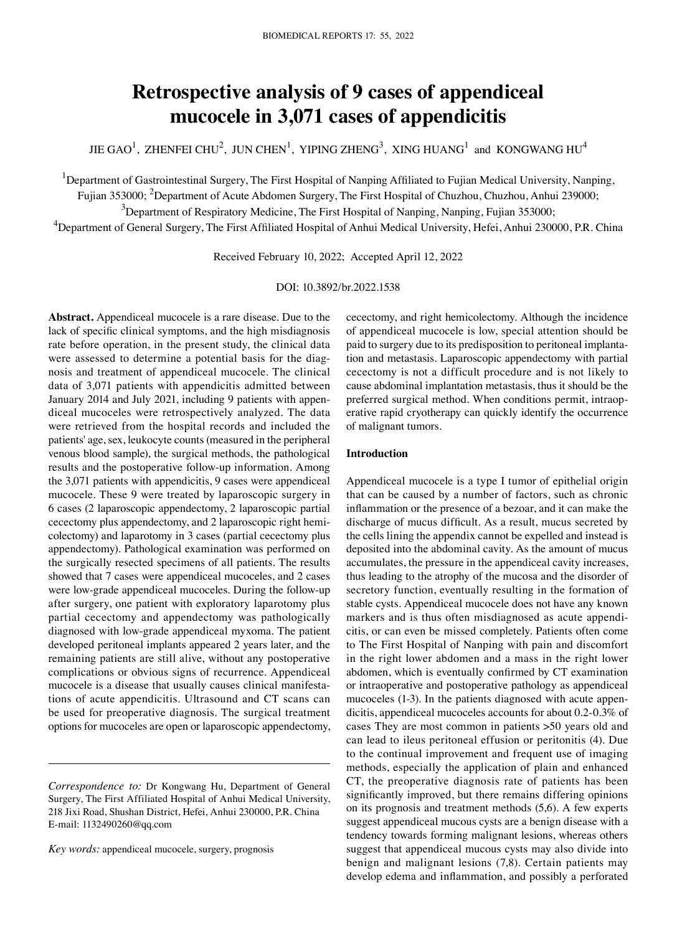# **Retrospective analysis of 9 cases of appendiceal mucocele in 3,071 cases of appendicitis**

JIE GAO $^1$ , ZHENFEI CHU $^2$ , JUN CHEN $^1$ , YIPING ZHENG $^3$ , XING HUANG $^1$  and KONGWANG HU $^4$ 

<sup>1</sup>Department of Gastrointestinal Surgery, The First Hospital of Nanping Affiliated to Fujian Medical University, Nanping,

Fujian 353000; <sup>2</sup>Department of Acute Abdomen Surgery, The First Hospital of Chuzhou, Chuzhou, Anhui 239000;

 $3$ Department of Respiratory Medicine, The First Hospital of Nanping, Nanping, Fujian 353000;

<sup>4</sup>Department of General Surgery, The First Affiliated Hospital of Anhui Medical University, Hefei, Anhui 230000, P.R. China

Received February 10, 2022; Accepted April 12, 2022

DOI: 10.3892/br.2022.1538

**Abstract.** Appendiceal mucocele is a rare disease. Due to the lack of specific clinical symptoms, and the high misdiagnosis rate before operation, in the present study, the clinical data were assessed to determine a potential basis for the diagnosis and treatment of appendiceal mucocele. The clinical data of 3,071 patients with appendicitis admitted between January 2014 and July 2021, including 9 patients with appendiceal mucoceles were retrospectively analyzed. The data were retrieved from the hospital records and included the patients' age, sex, leukocyte counts (measured in the peripheral venous blood sample), the surgical methods, the pathological results and the postoperative follow‑up information. Among the 3,071 patients with appendicitis, 9 cases were appendiceal mucocele. These 9 were treated by laparoscopic surgery in 6 cases (2 laparoscopic appendectomy, 2 laparoscopic partial cecectomy plus appendectomy, and 2 laparoscopic right hemicolectomy) and laparotomy in 3 cases (partial cecectomy plus appendectomy). Pathological examination was performed on the surgically resected specimens of all patients. The results showed that 7 cases were appendiceal mucoceles, and 2 cases were low-grade appendiceal mucoceles. During the follow-up after surgery, one patient with exploratory laparotomy plus partial cecectomy and appendectomy was pathologically diagnosed with low‑grade appendiceal myxoma. The patient developed peritoneal implants appeared 2 years later, and the remaining patients are still alive, without any postoperative complications or obvious signs of recurrence. Appendiceal mucocele is a disease that usually causes clinical manifestations of acute appendicitis. Ultrasound and CT scans can be used for preoperative diagnosis. The surgical treatment options for mucoceles are open or laparoscopic appendectomy,

*Key words:* appendiceal mucocele, surgery, prognosis

cecectomy, and right hemicolectomy. Although the incidence of appendiceal mucocele is low, special attention should be paid to surgery due to its predisposition to peritoneal implantation and metastasis. Laparoscopic appendectomy with partial cecectomy is not a difficult procedure and is not likely to cause abdominal implantation metastasis, thus it should be the preferred surgical method. When conditions permit, intraoperative rapid cryotherapy can quickly identify the occurrence of malignant tumors.

#### **Introduction**

Appendiceal mucocele is a type I tumor of epithelial origin that can be caused by a number of factors, such as chronic inflammation or the presence of a bezoar, and it can make the discharge of mucus difficult. As a result, mucus secreted by the cells lining the appendix cannot be expelled and instead is deposited into the abdominal cavity. As the amount of mucus accumulates, the pressure in the appendiceal cavity increases, thus leading to the atrophy of the mucosa and the disorder of secretory function, eventually resulting in the formation of stable cysts. Appendiceal mucocele does not have any known markers and is thus often misdiagnosed as acute appendicitis, or can even be missed completely. Patients often come to The First Hospital of Nanping with pain and discomfort in the right lower abdomen and a mass in the right lower abdomen, which is eventually confirmed by CT examination or intraoperative and postoperative pathology as appendiceal mucoceles (1-3). In the patients diagnosed with acute appendicitis, appendiceal mucoceles accounts for about 0.2‑0.3% of cases They are most common in patients >50 years old and can lead to ileus peritoneal effusion or peritonitis (4). Due to the continual improvement and frequent use of imaging methods, especially the application of plain and enhanced CT, the preoperative diagnosis rate of patients has been significantly improved, but there remains differing opinions on its prognosis and treatment methods (5,6). A few experts suggest appendiceal mucous cysts are a benign disease with a tendency towards forming malignant lesions, whereas others suggest that appendiceal mucous cysts may also divide into benign and malignant lesions (7,8). Certain patients may develop edema and inflammation, and possibly a perforated

*Correspondence to:* Dr Kongwang Hu, Department of General Surgery, The First Affiliated Hospital of Anhui Medical University, 218 Jixi Road, Shushan District, Hefei, Anhui 230000, P.R. China E‑mail: 1132490260@qq.com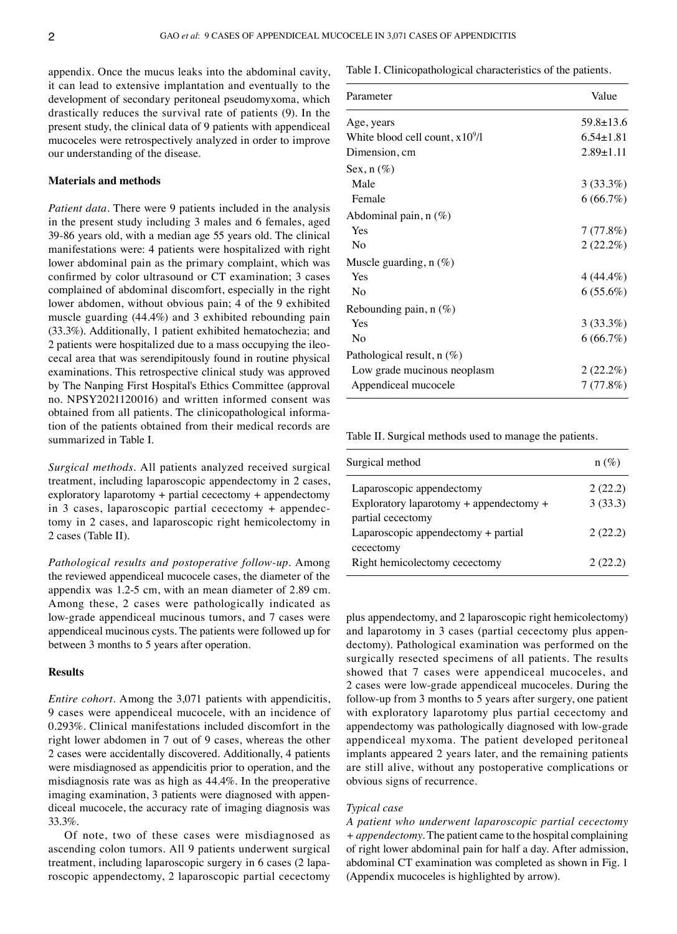appendix. Once the mucus leaks into the abdominal cavity, it can lead to extensive implantation and eventually to the development of secondary peritoneal pseudomyxoma, which drastically reduces the survival rate of patients (9). In the present study, the clinical data of 9 patients with appendiceal mucoceles were retrospectively analyzed in order to improve our understanding of the disease.

## **Materials and methods**

*Patient data.* There were 9 patients included in the analysis in the present study including 3 males and 6 females, aged 39‑86 years old, with a median age 55 years old. The clinical manifestations were: 4 patients were hospitalized with right lower abdominal pain as the primary complaint, which was confirmed by color ultrasound or CT examination; 3 cases complained of abdominal discomfort, especially in the right lower abdomen, without obvious pain; 4 of the 9 exhibited muscle guarding (44.4%) and 3 exhibited rebounding pain (33.3%). Additionally, 1 patient exhibited hematochezia; and 2 patients were hospitalized due to a mass occupying the ileocecal area that was serendipitously found in routine physical examinations. This retrospective clinical study was approved by The Nanping First Hospital's Ethics Committee (approval no. NPSY2021120016) and written informed consent was obtained from all patients. The clinicopathological information of the patients obtained from their medical records are summarized in Table I.

*Surgical methods.* All patients analyzed received surgical treatment, including laparoscopic appendectomy in 2 cases, exploratory laparotomy + partial cecectomy + appendectomy in 3 cases, laparoscopic partial cecectomy  $+$  appendectomy in 2 cases, and laparoscopic right hemicolectomy in 2 cases (Table II).

*Pathological results and postoperative follow‑up.* Among the reviewed appendiceal mucocele cases, the diameter of the appendix was 1.2‑5 cm, with an mean diameter of 2.89 cm. Among these, 2 cases were pathologically indicated as low‑grade appendiceal mucinous tumors, and 7 cases were appendiceal mucinous cysts. The patients were followed up for between 3 months to 5 years after operation.

#### **Results**

*Entire cohort.* Among the 3,071 patients with appendicitis, 9 cases were appendiceal mucocele, with an incidence of 0.293%. Clinical manifestations included discomfort in the right lower abdomen in 7 out of 9 cases, whereas the other 2 cases were accidentally discovered. Additionally, 4 patients were misdiagnosed as appendicitis prior to operation, and the misdiagnosis rate was as high as 44.4%. In the preoperative imaging examination, 3 patients were diagnosed with appendiceal mucocele, the accuracy rate of imaging diagnosis was 33.3%.

Of note, two of these cases were misdiagnosed as ascending colon tumors. All 9 patients underwent surgical treatment, including laparoscopic surgery in 6 cases (2 laparoscopic appendectomy, 2 laparoscopic partial cecectomy Table I. Clinicopathological characteristics of the patients.

| Parameter                         | Value           |
|-----------------------------------|-----------------|
| Age, years                        | $59.8 \pm 13.6$ |
| White blood cell count, $x10^9/1$ | $6.54 \pm 1.81$ |
| Dimension, cm                     | $2.89 \pm 1.11$ |
| Sex, $n(\%)$                      |                 |
| Male                              | 3(33.3%)        |
| Female                            | 6(66.7%)        |
| Abdominal pain, n (%)             |                 |
| Yes                               | 7(77.8%)        |
| No                                | 2(22.2%)        |
| Muscle guarding, $n(\%)$          |                 |
| Yes                               | $4(44.4\%)$     |
| No                                | $6(55.6\%)$     |
| Rebounding pain, $n$ (%)          |                 |
| Yes                               | $3(33.3\%)$     |
| No                                | 6(66.7%)        |
| Pathological result, $n$ (%)      |                 |
| Low grade mucinous neoplasm       | 2(22.2%)        |
| Appendiceal mucocele              | 7(77.8%)        |

Table II. Surgical methods used to manage the patients.

| Surgical method                         | $n(\%)$ |
|-----------------------------------------|---------|
| Laparoscopic appendectomy               | 2(22.2) |
| Exploratory laparotomy + appendectomy + | 3(33.3) |
| partial cecectomy                       |         |
| Laparoscopic appendectomy + partial     | 2(22.2) |
| cecectomy                               |         |
| Right hemicolectomy cecectomy           | 2(22.2) |
|                                         |         |

plus appendectomy, and 2 laparoscopic right hemicolectomy) and laparotomy in 3 cases (partial cecectomy plus appendectomy). Pathological examination was performed on the surgically resected specimens of all patients. The results showed that 7 cases were appendiceal mucoceles, and 2 cases were low‑grade appendiceal mucoceles. During the follow‑up from 3 months to 5 years after surgery, one patient with exploratory laparotomy plus partial cecectomy and appendectomy was pathologically diagnosed with low‑grade appendiceal myxoma. The patient developed peritoneal implants appeared 2 years later, and the remaining patients are still alive, without any postoperative complications or obvious signs of recurrence.

#### *Typical case*

*A patient who underwent laparoscopic partial cecectomy + appendectomy.* The patient came to the hospital complaining of right lower abdominal pain for half a day. After admission, abdominal CT examination was completed as shown in Fig. 1 (Appendix mucoceles is highlighted by arrow).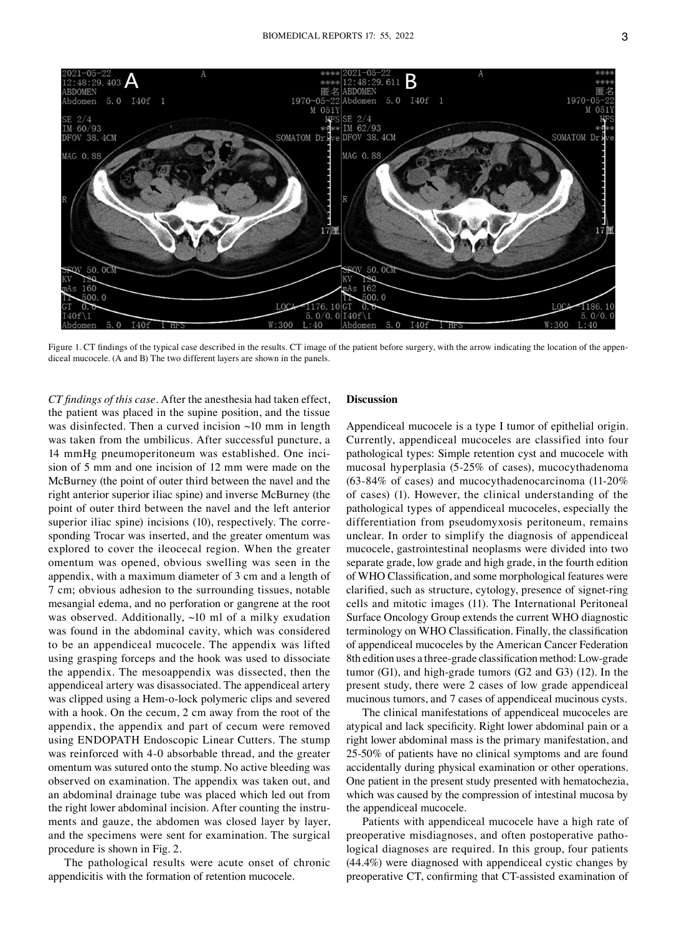

Figure 1. CT findings of the typical case described in the results. CT image of the patient before surgery, with the arrow indicating the location of the appendiceal mucocele. (A and B) The two different layers are shown in the panels.

*CT findings of this case.* After the anesthesia had taken effect, the patient was placed in the supine position, and the tissue was disinfected. Then a curved incision  $\sim$ 10 mm in length was taken from the umbilicus. After successful puncture, a 14 mmHg pneumoperitoneum was established. One inci‑ sion of 5 mm and one incision of 12 mm were made on the McBurney (the point of outer third between the navel and the right anterior superior iliac spine) and inverse McBurney (the point of outer third between the navel and the left anterior superior iliac spine) incisions (10), respectively. The corresponding Trocar was inserted, and the greater omentum was explored to cover the ileocecal region. When the greater omentum was opened, obvious swelling was seen in the appendix, with a maximum diameter of 3 cm and a length of 7 cm; obvious adhesion to the surrounding tissues, notable mesangial edema, and no perforation or gangrene at the root was observed. Additionally, ~10 ml of a milky exudation was found in the abdominal cavity, which was considered to be an appendiceal mucocele. The appendix was lifted using grasping forceps and the hook was used to dissociate the appendix. The mesoappendix was dissected, then the appendiceal artery was disassociated. The appendiceal artery was clipped using a Hem-o-lock polymeric clips and severed with a hook. On the cecum, 2 cm away from the root of the appendix, the appendix and part of cecum were removed using ENDOPATH Endoscopic Linear Cutters. The stump was reinforced with 4-0 absorbable thread, and the greater omentum was sutured onto the stump. No active bleeding was observed on examination. The appendix was taken out, and an abdominal drainage tube was placed which led out from the right lower abdominal incision. After counting the instruments and gauze, the abdomen was closed layer by layer, and the specimens were sent for examination. The surgical procedure is shown in Fig. 2.

The pathological results were acute onset of chronic appendicitis with the formation of retention mucocele.

## **Discussion**

Appendiceal mucocele is a type I tumor of epithelial origin. Currently, appendiceal mucoceles are classified into four pathological types: Simple retention cyst and mucocele with mucosal hyperplasia (5‑25% of cases), mucocythadenoma (63-84% of cases) and mucocythadenocarcinoma (11-20%) of cases) (1). However, the clinical understanding of the pathological types of appendiceal mucoceles, especially the differentiation from pseudomyxosis peritoneum, remains unclear. In order to simplify the diagnosis of appendiceal mucocele, gastrointestinal neoplasms were divided into two separate grade, low grade and high grade, in the fourth edition of WHO Classification, and some morphological features were clarified, such as structure, cytology, presence of signet-ring cells and mitotic images (11). The International Peritoneal Surface Oncology Group extends the current WHO diagnostic terminology on WHO Classification. Finally, the classification of appendiceal mucoceles by the American Cancer Federation 8th edition uses a three‑grade classification method: Low‑grade tumor  $(G1)$ , and high-grade tumors  $(G2 \text{ and } G3)$   $(12)$ . In the present study, there were 2 cases of low grade appendiceal mucinous tumors, and 7 cases of appendiceal mucinous cysts.

The clinical manifestations of appendiceal mucoceles are atypical and lack specificity. Right lower abdominal pain or a right lower abdominal mass is the primary manifestation, and 25‑50% of patients have no clinical symptoms and are found accidentally during physical examination or other operations. One patient in the present study presented with hematochezia, which was caused by the compression of intestinal mucosa by the appendiceal mucocele.

Patients with appendiceal mucocele have a high rate of preoperative misdiagnoses, and often postoperative pathological diagnoses are required. In this group, four patients (44.4%) were diagnosed with appendiceal cystic changes by preoperative CT, confirming that CT‑assisted examination of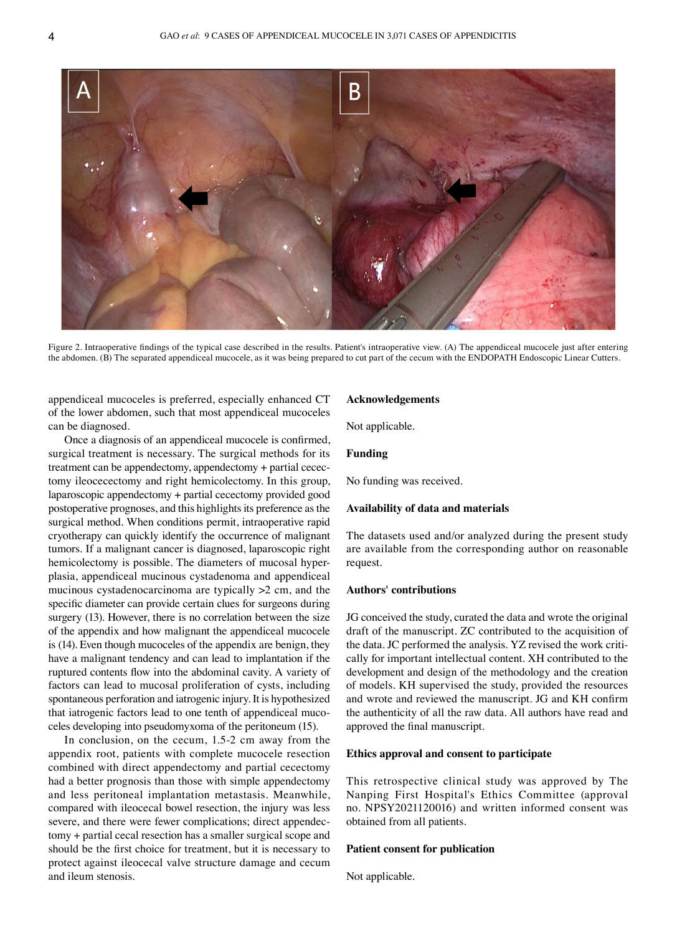

Figure 2. Intraoperative findings of the typical case described in the results. Patient's intraoperative view. (A) The appendiceal mucocele just after entering the abdomen. (B) The separated appendiceal mucocele, as it was being prepared to cut part of the cecum with the ENDOPATH Endoscopic Linear Cutters.

appendiceal mucoceles is preferred, especially enhanced CT of the lower abdomen, such that most appendiceal mucoceles can be diagnosed.

Once a diagnosis of an appendiceal mucocele is confirmed, surgical treatment is necessary. The surgical methods for its treatment can be appendectomy, appendectomy + partial cecectomy ileocecectomy and right hemicolectomy. In this group, laparoscopic appendectomy + partial cecectomy provided good postoperative prognoses, and this highlights its preference as the surgical method. When conditions permit, intraoperative rapid cryotherapy can quickly identify the occurrence of malignant tumors. If a malignant cancer is diagnosed, laparoscopic right hemicolectomy is possible. The diameters of mucosal hyperplasia, appendiceal mucinous cystadenoma and appendiceal mucinous cystadenocarcinoma are typically >2 cm, and the specific diameter can provide certain clues for surgeons during surgery (13). However, there is no correlation between the size of the appendix and how malignant the appendiceal mucocele is (14). Even though mucoceles of the appendix are benign, they have a malignant tendency and can lead to implantation if the ruptured contents flow into the abdominal cavity. A variety of factors can lead to mucosal proliferation of cysts, including spontaneous perforation and iatrogenic injury. It is hypothesized that iatrogenic factors lead to one tenth of appendiceal mucoceles developing into pseudomyxoma of the peritoneum (15).

In conclusion, on the cecum, 1.5‑2 cm away from the appendix root, patients with complete mucocele resection combined with direct appendectomy and partial cecectomy had a better prognosis than those with simple appendectomy and less peritoneal implantation metastasis. Meanwhile, compared with ileocecal bowel resection, the injury was less severe, and there were fewer complications; direct appendectomy + partial cecal resection has a smaller surgical scope and should be the first choice for treatment, but it is necessary to protect against ileocecal valve structure damage and cecum and ileum stenosis.

## **Acknowledgements**

Not applicable.

## **Funding**

No funding was received.

#### **Availability of data and materials**

The datasets used and/or analyzed during the present study are available from the corresponding author on reasonable request.

# **Authors' contributions**

JG conceived the study, curated the data and wrote the original draft of the manuscript. ZC contributed to the acquisition of the data. JC performed the analysis. YZ revised the work critically for important intellectual content. XH contributed to the development and design of the methodology and the creation of models. KH supervised the study, provided the resources and wrote and reviewed the manuscript. JG and KH confirm the authenticity of all the raw data. All authors have read and approved the final manuscript.

## **Ethics approval and consent to participate**

This retrospective clinical study was approved by The Nanping First Hospital's Ethics Committee (approval no. NPSY2021120016) and written informed consent was obtained from all patients.

## **Patient consent for publication**

Not applicable.